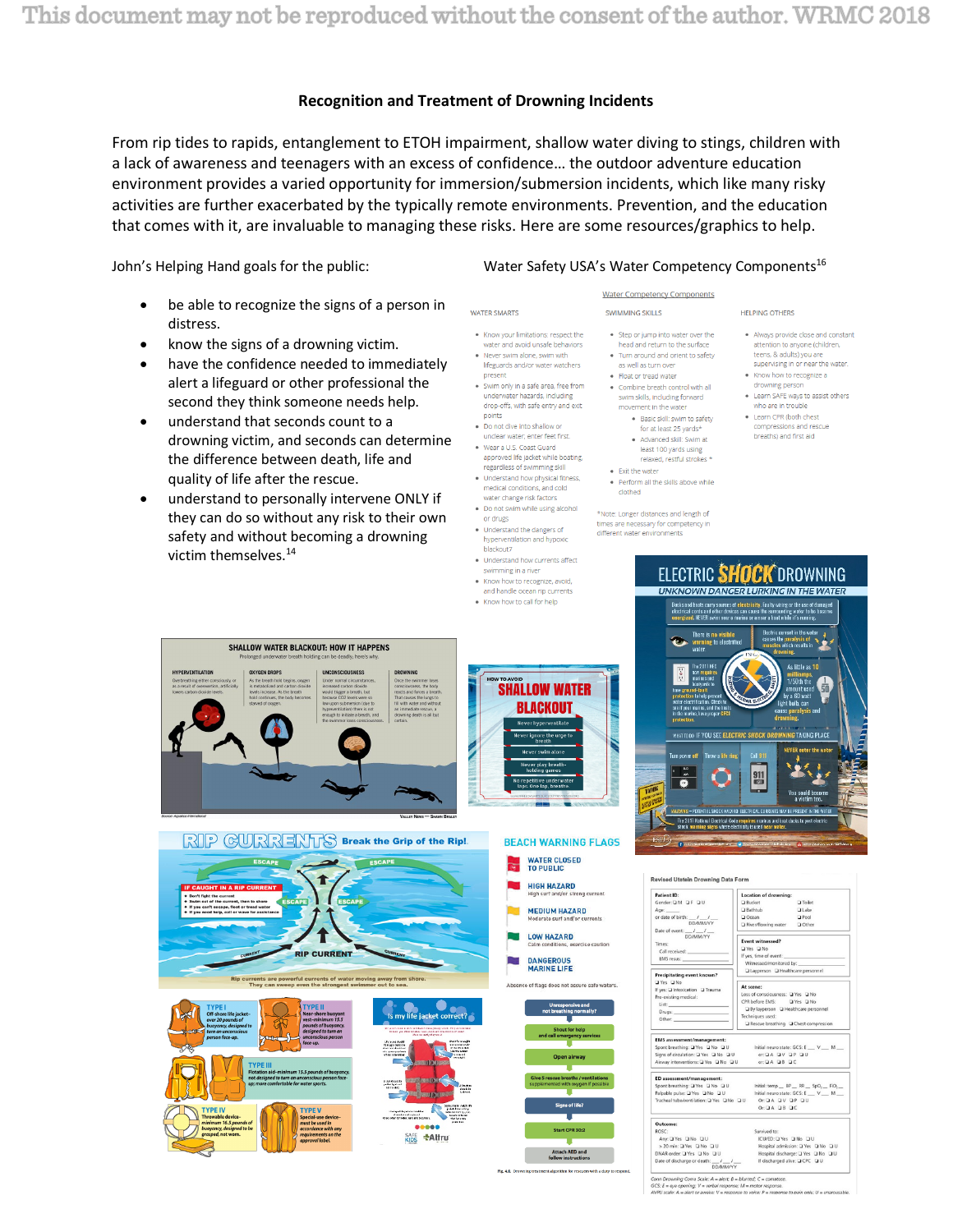# **Recognition and Treatment of Drowning Incidents**

From rip tides to rapids, entanglement to ETOH impairment, shallow water diving to stings, children with a lack of awareness and teenagers with an excess of confidence… the outdoor adventure education environment provides a varied opportunity for immersion/submersion incidents, which like many risky activities are further exacerbated by the typically remote environments. Prevention, and the education that comes with it, are invaluable to managing these risks. Here are some resources/graphics to help.

**WATER SMARTS** 

present

points

or drugs

. Know your limitations: respect the

underwater hazards, including

unclear water; enter feet first.

regardless of swimming skill

medical conditions, and cold

water change risk factors • Do not swim while using alcohol

. Understand the dangers of

hyperventilation and hypoxic blackout7 · Understand how currents affect swimming in a river

. Know how to recognize, avoid. and handle ocean rip currents

. Know how to call for help

· Understand how physical fitness,

. Do not dive into shallow of

• Wear a U.S. Coast Guard

drop-offs, with safe entry and exit

approved life jacket while boating,

· Never swim alone, swim with

John's Helping Hand goals for the public: Water Safety USA's Water Competency Components<sup>16</sup>

 $\boxtimes$ 

- be able to recognize the signs of a person in distress.
- know the signs of a drowning victim.
- have the confidence needed to immediately alert a lifeguard or other professional the second they think someone needs help.
- understand that seconds count to a drowning victim, and seconds can determine the difference between death, life and quality of life after the rescue.
- understand to personally intervene ONLY if they can do so without any risk to their own safety and without becoming a drowning victim themselves.14



- . Step or jump into water over the head and return to the surface . Turn around and orient to safety
- as well as turn over • Float or tread water
	- swim skills, including forward movement in the water
		- for at least 25 yards\* · Advanced skill: Swim at least 100 yards using
		-
	- . Perform all the skills above while clothed

\*Note: Longer distances and length of times are necessary for competency in different water environments

. Always provide close and constant

**HELPING OTHERS** 

- attention to anyone (children, teens, & adults) you are supervising in or near the water • Know how to recognize a
- drowning nerson . Learn SAFE ways to assist others who are in trouble
- Learn CPR (both chest compressions and rescue breaths) and first aid

## ELECTRIC SHOCK DROWNING **UNKNOWN DANGER LURKING IN THE WATER**



**Bucke** 

**J** Bathtub

**Event witnessed?**<br> $\Box$  Yes  $\Box$  No<br>If yes, time of event

**Q** Laype son OHe

□ Oce<br>□ Rive

Q Toilet

**Q** Lake

..<br>ored by:

|                                                                                                                                     | SHALLOW WATER BLACKOUT: HOW IT HAPPENS<br>Prolonged underwater breath holding can be deadly; here's why.                                                                                  |                                                                                                                                                                                                                                                                                         |                                                                                                                                                                                                                                                                                                                                                                                                              |                                                                                                    |                                                                                                                                                                                                                |
|-------------------------------------------------------------------------------------------------------------------------------------|-------------------------------------------------------------------------------------------------------------------------------------------------------------------------------------------|-----------------------------------------------------------------------------------------------------------------------------------------------------------------------------------------------------------------------------------------------------------------------------------------|--------------------------------------------------------------------------------------------------------------------------------------------------------------------------------------------------------------------------------------------------------------------------------------------------------------------------------------------------------------------------------------------------------------|----------------------------------------------------------------------------------------------------|----------------------------------------------------------------------------------------------------------------------------------------------------------------------------------------------------------------|
| <b>ATION</b><br>ither consciously, or<br>erexertion, artificially<br>licoide levels.                                                | <b>OXYGEN DROPS</b><br>As the breath hold begins, orwern<br>is metabolized and carbon diguide<br>levels increase. As the breath<br>hold continues, the body becomes<br>starved of oxygen. | <b>UNCONSCIOUSNESS</b><br>Under normal circumstances,<br>increased carbon dioxide<br>would trigger a breath, but<br>because CO2 levels were so<br>low upon submersion (due to<br>hyperventilation) there is not<br>enough to initiate a breath, and<br>the swimmer loses consciousness. | <b>DROWNING</b><br>Once the swimmer loses<br>consciousness, the body<br>reacts and forces a breath.<br>That causes the lungs to<br>fill with water and without<br>an immediate rescue, a<br>drowning death is all but<br>certain                                                                                                                                                                             | <b>HOW TO AVOID</b>                                                                                | <b>SHALLOW WATER</b><br><b>BLACKOUT</b><br><b>Never hyperventilate</b><br>Never ignore the urge to<br>breath<br><b>Never swim alone</b><br>Never play breath-<br>holding games                                 |
|                                                                                                                                     | RREXH<br><b>ESCAPE</b>                                                                                                                                                                    | <b>ESCAPE</b>                                                                                                                                                                                                                                                                           | VALLEY NEWS - SHAWN BRALEY<br>Break the Grip of the Rip!                                                                                                                                                                                                                                                                                                                                                     |                                                                                                    | No repetitive underwater<br>laps. One lap, breathe.<br>WWW.BREADWARENTOWNERSHIPS<br><b>BEACH WARNING FL</b><br><b>WATER CLOSED</b><br><b>TO PUBLIC</b>                                                         |
| <b>UGHT IN A RIP CURRENT</b><br><b>fight the current</b><br>out of the current, then to shore<br>can't escape, float or tread water | <b>ESCAPE</b><br>need help, call or wave for assistance<br>CURRENT<br>Rip currents are powerful currents of water moving away from shore.                                                 | <b>ESCAPE</b><br><b>RIP CURRENT</b>                                                                                                                                                                                                                                                     | <b>CURRENT</b>                                                                                                                                                                                                                                                                                                                                                                                               |                                                                                                    | <b>HIGH HAZARD</b><br>High surf and/or strong curren<br><b>MEDIUM HAZARD</b><br>Moderate surf and/or currents<br><b>LOW HAZARD</b><br>Calm conditions, exercise caut<br><b>DANGEROUS</b><br><b>MARINE LIFE</b> |
| <b>TYPE1</b><br>Off-shore life jacket-<br>over 20 pounds of<br>buoyancy, designed to<br>turn an unconscious<br>person face-up.      | <b>TYPE II</b><br>face-up.<br><b>TYPE III</b>                                                                                                                                             | They can sweep even the strongest swimmer out to sea.<br><b>Near-shore buoyant</b><br>vest-minimum 15.5<br>pounds of buoyancy,<br>designed to turn an<br>unconscious person                                                                                                             | Is my life jacket correct?<br>the more in show build handed from default and all they are intended.<br>is been you what is have a two tools and structures in changes.<br>We're severally stay work<br>$\begin{array}{c} \textbf{Disjoint And} \\ \textbf{In important data} \\ \textbf{Ascent-dust on} \\ \textbf{In particular data} \\ \textbf{After instance} \end{array}$<br><b>MATHEMATIC REGISTER</b> | Checkform weight<br><b>Selections</b><br>of the Probability<br>Similar company<br><b>Telesting</b> | Absence of flags does not assure safe v<br><b>Unresponsive and</b><br>not breathing normally?<br><b>Shout for help</b><br>and call emergency services<br><b>Open airway</b>                                    |

.....

**SAFE \*Altru** 

- water and avoid unsafe behaviors lifeguards and/or water watchers • Swim only in a safe area, free from
	- Combine breath control with all
		- · Basic skill: swim to safety
		- relaxed, restful strokes \*
	- . Fxit the water



Attach AED and

# At scene:<br>Loss of consciousness: 2<br>CPR before EMS: 2<br>2 By layperson 2 Healt<br>Techniques used: u k nitial neuro state: GCS: E \_\_ V \_\_ M \_\_<br>or: Q A \_Q V \_Q P \_Q U<br>or: Q A \_Q B \_Q C nitial: temp \_ BP \_ RR \_ SpO<sub>2</sub> \_ FiO<sub>2</sub> \_<br>hitial neuro state: GCS: E \_ V \_ M \_<br>Or: Q A \_ Q V \_ Q P \_ Q U<br>Or: Q A \_ Q B \_ Q C

ROSC:<br>
Any: Q'Ys Q No Q U<br>
> 20 min: Q'Ys Q No Q U<br>
> 20 min: Q'Ys Q No Q U<br>
DNAR order: Q'Yes Q No Q U<br>
Date of discharge or death:  $\frac{1}{0.074 \text{ MeV}}$ Survived to:<br>|CU/ED: Q Yes | Q No | Q U<br>| Hospital admission: Q Yes | Q No | Q U<br>| Hospital discharge: Q Yes | Q No | Q U<br>| If discharged alive: Q CPC | Q U  $ed; C =$ 

ng Coma Scale: A = alert; B = blunte<br>opening; V = verbal response; M = r.